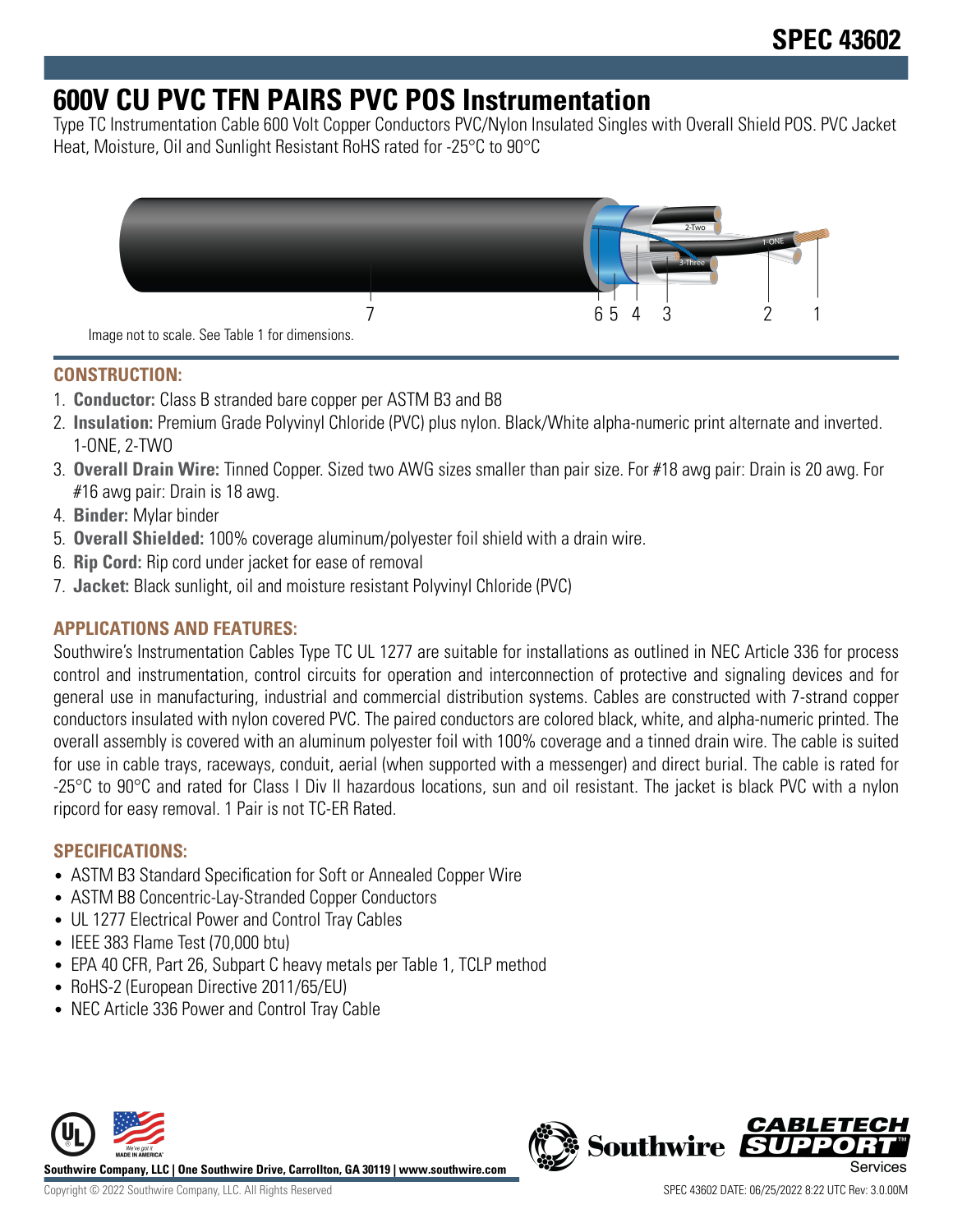# **600V CU PVC TFN PAIRS PVC POS Instrumentation**

Type TC Instrumentation Cable 600 Volt Copper Conductors PVC/Nylon Insulated Singles with Overall Shield POS. PVC Jacket Heat, Moisture, Oil and Sunlight Resistant RoHS rated for -25°C to 90°C



### **CONSTRUCTION:**

- 1. **Conductor:** Class B stranded bare copper per ASTM B3 and B8
- 2. **Insulation:** Premium Grade Polyvinyl Chloride (PVC) plus nylon. Black/White alpha-numeric print alternate and inverted. 1-ONE, 2-TWO
- 3. **Overall Drain Wire:** Tinned Copper. Sized two AWG sizes smaller than pair size. For #18 awg pair: Drain is 20 awg. For #16 awg pair: Drain is 18 awg.
- 4. **Binder:** Mylar binder
- 5. **Overall Shielded:** 100% coverage aluminum/polyester foil shield with a drain wire.
- 6. **Rip Cord:** Rip cord under jacket for ease of removal
- 7. **Jacket:** Black sunlight, oil and moisture resistant Polyvinyl Chloride (PVC)

## **APPLICATIONS AND FEATURES:**

Southwire's Instrumentation Cables Type TC UL 1277 are suitable for installations as outlined in NEC Article 336 for process control and instrumentation, control circuits for operation and interconnection of protective and signaling devices and for general use in manufacturing, industrial and commercial distribution systems. Cables are constructed with 7-strand copper conductors insulated with nylon covered PVC. The paired conductors are colored black, white, and alpha-numeric printed. The overall assembly is covered with an aluminum polyester foil with 100% coverage and a tinned drain wire. The cable is suited for use in cable trays, raceways, conduit, aerial (when supported with a messenger) and direct burial. The cable is rated for -25°C to 90°C and rated for Class I Div II hazardous locations, sun and oil resistant. The jacket is black PVC with a nylon ripcord for easy removal. 1 Pair is not TC-ER Rated.

## **SPECIFICATIONS:**

- ASTM B3 Standard Specification for Soft or Annealed Copper Wire
- ASTM B8 Concentric-Lay-Stranded Copper Conductors
- UL 1277 Electrical Power and Control Tray Cables
- IEEE 383 Flame Test (70,000 btu)
- EPA 40 CFR, Part 26, Subpart C heavy metals per Table 1, TCLP method
- RoHS-2 (European Directive 2011/65/EU)
- NEC Article 336 Power and Control Tray Cable



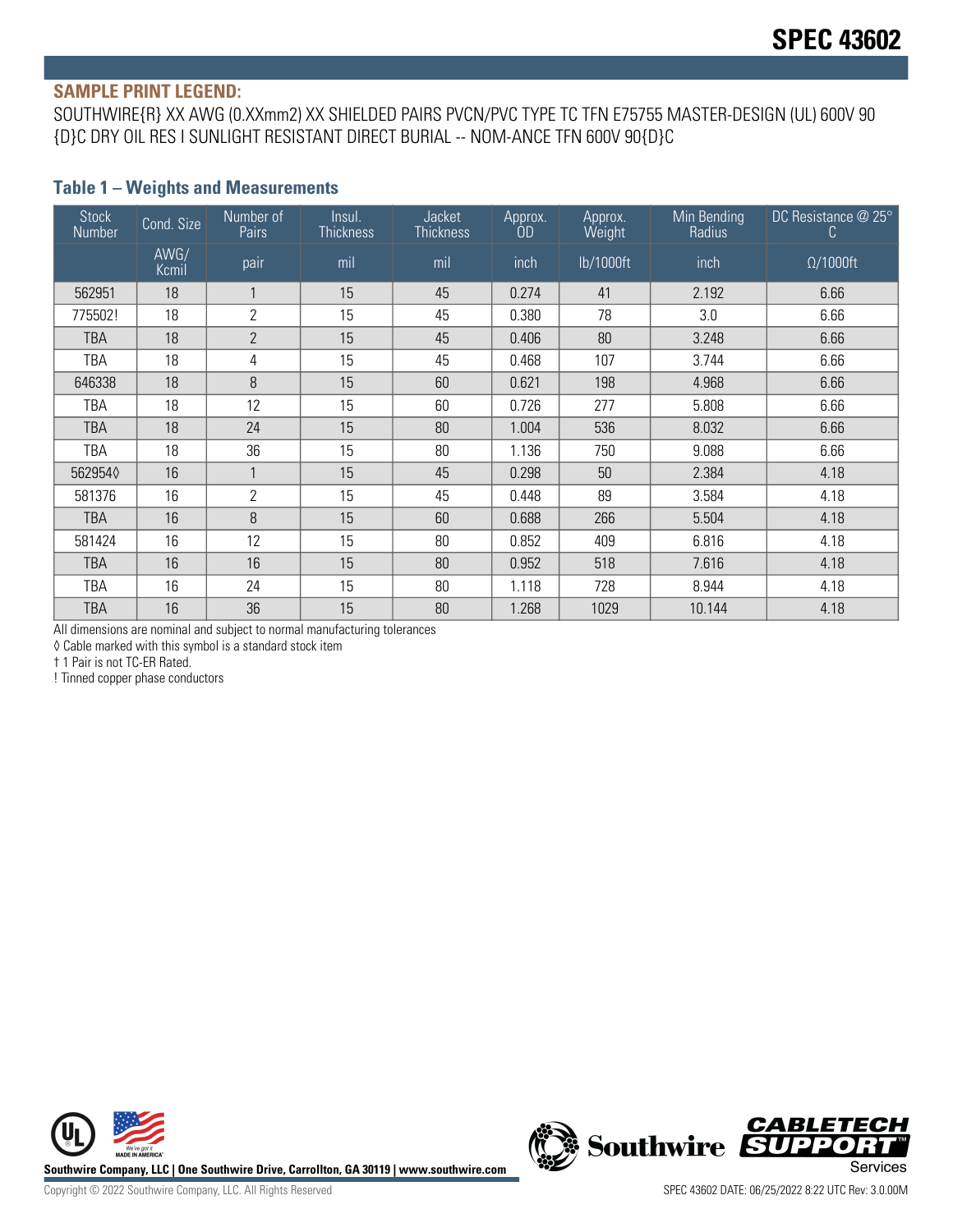#### **SAMPLE PRINT LEGEND:**

SOUTHWIRE{R} XX AWG (0.XXmm2) XX SHIELDED PAIRS PVCN/PVC TYPE TC TFN E75755 MASTER-DESIGN (UL) 600V 90 {D}C DRY OIL RES I SUNLIGHT RESISTANT DIRECT BURIAL -- NOM-ANCE TFN 600V 90{D}C

#### **Table 1 – Weights and Measurements**

| <b>Stock</b><br>Number | Cond. Size    | Number of<br>Pairs | Insul.<br><b>Thickness</b> | Jacket<br><b>Thickness</b> | Approx.<br>ÒD | Approx.<br>Weight | Min Bending<br>Radius | DC Resistance @ 25°<br>C. |
|------------------------|---------------|--------------------|----------------------------|----------------------------|---------------|-------------------|-----------------------|---------------------------|
|                        | AWG/<br>Kcmil | pair               | mil                        | mil                        | inch          | lb/1000ft         | inch                  | $\Omega/1000$ ft          |
| 562951                 | 18            |                    | 15                         | 45                         | 0.274         | 41                | 2.192                 | 6.66                      |
| 775502!                | 18            | $\overline{2}$     | 15                         | 45                         | 0.380         | 78                | 3.0                   | 6.66                      |
| <b>TBA</b>             | 18            | $\mathbf{2}$       | 15                         | 45                         | 0.406         | 80                | 3.248                 | 6.66                      |
| TBA                    | 18            | 4                  | 15                         | 45                         | 0.468         | 107               | 3.744                 | 6.66                      |
| 646338                 | 18            | 8                  | 15                         | 60                         | 0.621         | 198               | 4.968                 | 6.66                      |
| TBA                    | 18            | 12                 | 15                         | 60                         | 0.726         | 277               | 5.808                 | 6.66                      |
| <b>TBA</b>             | 18            | 24                 | 15                         | 80                         | 1.004         | 536               | 8.032                 | 6.66                      |
| TBA                    | 18            | 36                 | 15                         | 80                         | 1.136         | 750               | 9.088                 | 6.66                      |
| 5629540                | 16            |                    | 15                         | 45                         | 0.298         | 50                | 2.384                 | 4.18                      |
| 581376                 | 16            | $\overline{2}$     | 15                         | 45                         | 0.448         | 89                | 3.584                 | 4.18                      |
| <b>TBA</b>             | 16            | 8                  | 15                         | 60                         | 0.688         | 266               | 5.504                 | 4.18                      |
| 581424                 | 16            | 12                 | 15                         | 80                         | 0.852         | 409               | 6.816                 | 4.18                      |
| <b>TBA</b>             | 16            | 16                 | 15                         | 80                         | 0.952         | 518               | 7.616                 | 4.18                      |
| TBA                    | 16            | 24                 | 15                         | 80                         | 1.118         | 728               | 8.944                 | 4.18                      |
| TBA                    | 16            | 36                 | 15                         | 80                         | 1.268         | 1029              | 10.144                | 4.18                      |

All dimensions are nominal and subject to normal manufacturing tolerances

◊ Cable marked with this symbol is a standard stock item

† 1 Pair is not TC-ER Rated.

! Tinned copper phase conductors